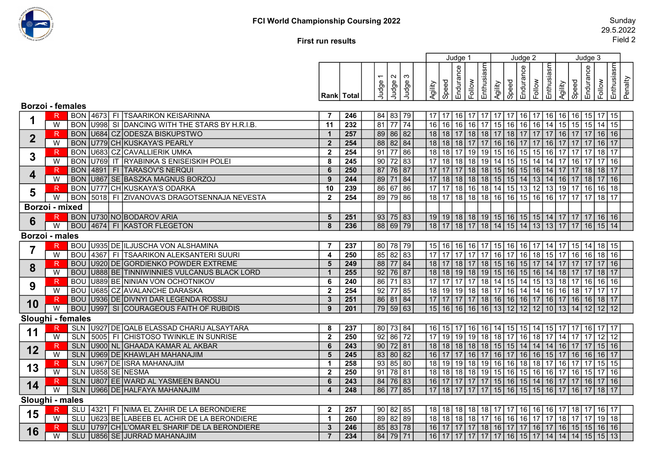

## First run results

|                         |                |            |                   |                                                |                         |                  |                |         |         |           |                      | Judge 1             |                        |            |                      | Judge 2   |                                    |                                                                          |         | Judge 3   |                      |            |         |
|-------------------------|----------------|------------|-------------------|------------------------------------------------|-------------------------|------------------|----------------|---------|---------|-----------|----------------------|---------------------|------------------------|------------|----------------------|-----------|------------------------------------|--------------------------------------------------------------------------|---------|-----------|----------------------|------------|---------|
|                         |                |            |                   |                                                |                         |                  |                |         | က       |           |                      |                     | Enthusiasm             |            |                      |           |                                    | Enthusiasm                                                               |         |           |                      | Enthusiasm |         |
|                         |                |            |                   |                                                |                         |                  | Judge 1        | Judge 2 | Judge   |           | Speed                | Endurance<br>Follow |                        |            | Speed                | Endurance | Follow                             |                                                                          | Speed   | Endurance | Follow               |            | Penalty |
|                         |                |            |                   |                                                | Rank   Total            |                  |                |         |         | Agility   |                      |                     |                        | Agility    |                      |           |                                    | Agility                                                                  |         |           |                      |            |         |
| <b>Borzoi</b> - females |                |            |                   |                                                |                         |                  |                |         |         |           |                      |                     |                        |            |                      |           |                                    |                                                                          |         |           |                      |            |         |
|                         | R.             |            |                   | BON 4673 FI TSAARIKON KEISARINNA               | -7                      | 246              | 84 83 79       |         |         | $17$   17 |                      |                     |                        |            | 16 17 17 17 17 18 17 |           |                                    | 16   16   16   15   17   15                                              |         |           |                      |            |         |
|                         | W              |            |                   | BON U998 SI DANCING WITH THE STARS BY H.R.I.B. | 11                      | 232              | 81 77 74       |         |         | 16 16     |                      |                     |                        |            |                      |           |                                    | 16 16 17 15 16 16 16 16 14 15 15 15 14 15                                |         |           |                      |            |         |
| $\mathbf{2}$            | $\mathsf R$    | <b>BON</b> |                   | U684 CZ ODESZA BISKUPSTWO                      |                         | 257              | 89 86 82       |         |         | $18$ 18   |                      | 18                  |                        | $18$ 17 18 |                      |           |                                    | 17 17 17 16 17                                                           |         | 17 16     |                      | 16         |         |
|                         | W              | <b>BON</b> |                   | U779 CH KUSKAYA'S PEARLY                       | $\overline{2}$          | 254              | 88 82 84       |         |         |           |                      |                     |                        |            |                      |           |                                    |                                                                          |         |           |                      |            |         |
| $\mathbf{3}$            |                | <b>BON</b> |                   | U683 CZ CAVALLIERIK UMKA                       | $\overline{2}$          | 254              | $91$ 77 86     |         |         | 18 18     |                      | 17 19               | 19                     |            | 15 16                | $15$ 15   |                                    | $16$ 17 17                                                               |         | 17        | 18                   | 17         |         |
|                         | W              | <b>BON</b> |                   | U769 IT RYABINKA S ENISEISKIH POLEI            | 8                       | 245              | $90$ 72 83     |         |         |           |                      |                     |                        |            |                      |           |                                    | 17 18 18 18 19 14 15 15 14 14 17 16 17 17                                |         |           |                      | 16         |         |
| 4                       | $\mathsf{R}$   | <b>BON</b> |                   | 4891 FI TARASOV'S NERQUI                       | 6                       | 250              | 87             | 76 87   |         | $17$   17 |                      |                     | 17   18   18   15   16 |            |                      |           |                                    | 15 16 14 17 17                                                           |         |           | 18   18              | 17         |         |
|                         | W              | <b>BON</b> |                   | U867 SE BASZKA MAGNUS BORZOJ                   | 9                       | 244              | 89 71 84       |         |         | 17 18     |                      |                     |                        |            |                      |           |                                    | 18   18   18   15   15   14   13   14   16   17                          |         |           | 18   17   16         |            |         |
| $\overline{\mathbf{5}}$ | R.             | <b>BON</b> |                   | U777 CH KUSKAYA'S ODARKA                       | 10                      | 239              | 86 67 86       |         |         |           |                      |                     |                        |            |                      |           |                                    | 17   17   18   16   18   14   15   13   12   13   19   17   16   16      |         |           |                      | 18         |         |
|                         | W              | <b>BON</b> |                   | 5018 FI ZIVANOVA'S DRAGOTSENNAJA NEVESTA       | $\overline{2}$          | 254              | 89 79 86       |         |         | $18$ 17   |                      |                     |                        |            |                      |           |                                    | 18 18 18 16 16 15 16 16 17 17                                            |         |           | $17 \mid 18 \mid 17$ |            |         |
|                         | Borzoi - mixed |            |                   |                                                |                         |                  |                |         |         |           |                      |                     |                        |            |                      |           |                                    |                                                                          |         |           |                      |            |         |
| $6\phantom{1}$          | R              |            |                   | BON U730 NO BODAROV ARIA                       | 5                       | 251              | 93   75   83   |         |         |           |                      |                     |                        |            |                      |           |                                    | 19 19 18 18 19 15 16 15 15 14 17 17 17 16 16                             |         |           |                      |            |         |
|                         | W              |            |                   | BOU 4674 FI KASTOR FLEGETON                    | 8                       | 236              | 88 69 79       |         |         | 18 17     |                      |                     |                        |            |                      |           |                                    | 18   17   18   14   15   14   13   13   17   17                          |         |           | 16 15                | 14         |         |
| Borzoi - males          |                |            |                   |                                                |                         |                  |                |         |         |           |                      |                     |                        |            |                      |           |                                    |                                                                          |         |           |                      |            |         |
|                         | R              |            |                   | BOU U935 DE ILJUSCHA VON ALSHAMINA             | $\overline{7}$          | 237              | 80 78 79       |         |         | $15$   16 |                      |                     |                        |            |                      |           |                                    | 16   16   17   15   16   16   17   14   17   15   14   18                |         |           |                      | -15        |         |
|                         | $\overline{W}$ | <b>BOU</b> |                   | 4367 FI TSAARIKON ALEKSANTERI SUURI            | $\overline{4}$          | 250              | 85             |         | 82 83   |           |                      |                     |                        | $17$ 16 17 |                      |           |                                    | 16 18 15 17 16                                                           |         |           | $16$ 18              | 16         |         |
|                         | R              | <b>BOU</b> |                   | U920 DE GORDIENKO POWDER EXTREME               | $5\phantom{1}$          | 249              | 88 77 84       |         |         | 18 17     |                      |                     |                        |            |                      |           |                                    | 18   17   18   15   16   15   17   14   17   17   17   17   16           |         |           |                      |            |         |
| 8                       | W              |            |                   | BOU U888 BE TINNIWINNIES VULCANUS BLACK LORD   |                         | 255              | 92   76   87   |         |         |           |                      |                     |                        |            |                      |           |                                    | 18   18   19   18   19   15   16   15   16   14   18   17   17   18      |         |           |                      | 17         |         |
| 9                       | $\mathsf R$    | <b>BOU</b> |                   | U889 BE NINIAN VON OCHOTNIKOV                  | 6                       | 240              | $86$ 71 83     |         |         | $17$   17 |                      |                     |                        |            |                      |           |                                    | 17   17   18   14   15   14   15   13   18   17                          |         |           | 16 16 16             |            |         |
|                         | W              | <b>BOU</b> |                   | U685 CZ AVALANCHE DARASKA                      | $\overline{\mathbf{2}}$ | 254              | 92             |         | $77$ 85 | 18   19   |                      |                     | 19 18 18 17 16         |            |                      | $14$ 14   |                                    | $\sqrt{16}$ 16   18                                                      |         |           | 17   17              | 17         |         |
|                         | R              |            |                   | BOU U936 DE DIVNYI DAR LEGENDA ROSSIJ          | $\boldsymbol{3}$        | 251              | 86 81 84       |         |         |           |                      |                     |                        |            |                      |           |                                    |                                                                          |         |           |                      |            |         |
| 10                      | $\overline{W}$ |            |                   | <b>BOU U997 SI COURAGEOUS FAITH OF RUBIDIS</b> | 9                       | 201              | 79   59   63   |         |         |           | 15 16 16 16 16 13 12 |                     |                        |            |                      |           |                                    | 12   12   10   13   14                                                   |         | 12 12     |                      | 12         |         |
| Sloughi - females       |                |            |                   |                                                |                         |                  |                |         |         |           |                      |                     |                        |            |                      |           |                                    |                                                                          |         |           |                      |            |         |
| 11                      | R              |            |                   | SLN U927 DE QALB ELASSAD CHARIJ ALSAYTARA      | -8                      | 237              | 80 73 84       |         |         | 16   15   |                      |                     | 16 <br>16              |            | 14 15                | 15        | $\vert$ 14                         | 15   17   17                                                             |         |           |                      |            |         |
|                         | W              |            |                   | SLN   5005   FI CHISTOSO TWINKLE IN SUNRISE    | $\overline{2}$          | 250              | $92 \ 86 \ 72$ |         |         | $17$   19 |                      |                     |                        |            |                      |           |                                    | 19 19 18 18 17 16 18 17 14 17 17 12                                      |         |           |                      | 12         |         |
| 12                      | R              |            |                   | SLN U900 NL GHAADA KAMAR AL AKBAR              | 6                       | $\overline{243}$ | $90$ 72 81     |         |         |           |                      |                     |                        |            |                      |           |                                    | 18   18   18   18   18   15   15   14   14   14   16   17   17   15      |         |           |                      | 16         |         |
|                         | W              |            |                   | SLN U969 DE KHAWLAH MAHANAJIM                  | 5                       | 245              | 83 80 82       |         |         | 16 17     |                      |                     |                        |            |                      |           |                                    | 17 16 17 16 17 16 17 16 16 15 17 16 16 16 17                             |         |           |                      |            |         |
| 13                      | R.             |            |                   | SLN U967 DE ISRA MAHANAJIM                     | $\overline{\mathbf{1}}$ | 258              | 93             |         | 85 80   | 18 19     |                      |                     |                        |            |                      |           |                                    | 19 18 19 16 16 18 18 17 16 17 17 15                                      |         |           |                      | 15         |         |
|                         | $\overline{W}$ |            | SLN U858 SE NESMA |                                                | $\overline{2}$          | 250              | 91   78   81   |         |         | 18 18     |                      |                     |                        |            |                      |           |                                    | 18   18   19   15   16   15   16   16   17   16   15   17   16           |         |           |                      |            |         |
| 14                      | R              |            |                   | SLN U807 EE WARD AL YASMEEN BANOU              | 6                       | 243              | 84   76   83   |         |         |           |                      |                     |                        |            |                      |           |                                    | 16   17   17   17   17   15   16   15   14   16   17   17   16   17   16 |         |           |                      |            |         |
|                         | $\overline{W}$ |            |                   | SLN U966 DE HALFAYA MAHANAJIM                  | $\boldsymbol{A}$        | $\overline{248}$ | 86 77 85       |         |         | $17$   18 |                      |                     | 17   17   17           |            | 15 16                | 15 15     |                                    | $16$ 17 16                                                               |         | 17        | 18                   | 17         |         |
| Sloughi - males         |                |            |                   |                                                |                         |                  |                |         |         |           |                      |                     |                        |            |                      |           |                                    |                                                                          |         |           |                      |            |         |
| 15                      |                |            |                   | SLU 4321 FI NIMA EL ZAHIR DE LA BERONDIERE     | $\mathbf{2}$            | 257              | 90   82   85   |         |         | 18   18   |                      | 18                  | 18   18   17   17      |            |                      | 16 16     |                                    | 16                                                                       | 17   18 | 17        | 16                   | 17         |         |
|                         | W              | <b>SLU</b> |                   | U623 BE LABEEB EL ACHIR DE LA BERONDIERE       | -1                      | $\overline{260}$ | $89 \ 82 \ 89$ |         |         | $18$ 18   |                      |                     | 17<br>18               | 16 16      |                      | 16        | $\overline{17}$<br>17 <sup>1</sup> |                                                                          | 18   17 | 17        | 19                   | 18         |         |
| 16                      | R.             | SLU        |                   | U797 CH L'OMAR EL SHARIF DE LA BERONDIERE      | -3                      | 246              | 85 83 78       |         |         | $16$ 17   |                      |                     | 17   17   18   16   17 |            |                      |           |                                    | 17   16   17   16   15   15   16   16                                    |         |           |                      |            |         |
|                         | $\overline{W}$ |            |                   | SLU U856 SE JURRAD MAHANAJIM                   | $\overline{7}$          | 234              | 84 79 71       |         |         |           |                      |                     |                        |            |                      |           |                                    | 16   17   17   17   17   17   16   15   17   14   14   14   15   15   13 |         |           |                      |            |         |